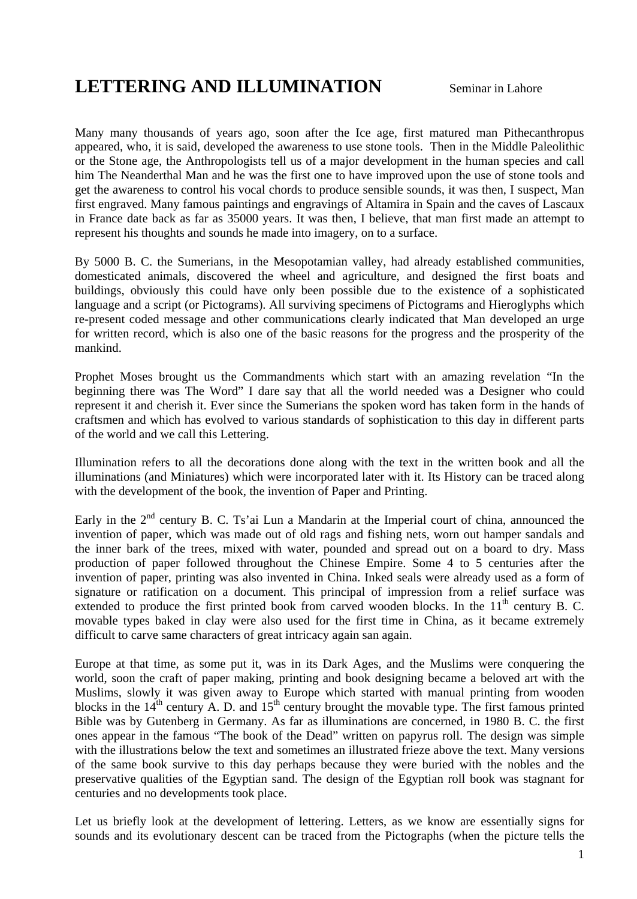## **LETTERING AND ILLUMINATION** Seminar in Lahore

Many many thousands of years ago, soon after the Ice age, first matured man Pithecanthropus appeared, who, it is said, developed the awareness to use stone tools. Then in the Middle Paleolithic or the Stone age, the Anthropologists tell us of a major development in the human species and call him The Neanderthal Man and he was the first one to have improved upon the use of stone tools and get the awareness to control his vocal chords to produce sensible sounds, it was then, I suspect, Man first engraved. Many famous paintings and engravings of Altamira in Spain and the caves of Lascaux in France date back as far as 35000 years. It was then, I believe, that man first made an attempt to represent his thoughts and sounds he made into imagery, on to a surface.

By 5000 B. C. the Sumerians, in the Mesopotamian valley, had already established communities, domesticated animals, discovered the wheel and agriculture, and designed the first boats and buildings, obviously this could have only been possible due to the existence of a sophisticated language and a script (or Pictograms). All surviving specimens of Pictograms and Hieroglyphs which re-present coded message and other communications clearly indicated that Man developed an urge for written record, which is also one of the basic reasons for the progress and the prosperity of the mankind.

Prophet Moses brought us the Commandments which start with an amazing revelation "In the beginning there was The Word" I dare say that all the world needed was a Designer who could represent it and cherish it. Ever since the Sumerians the spoken word has taken form in the hands of craftsmen and which has evolved to various standards of sophistication to this day in different parts of the world and we call this Lettering.

Illumination refers to all the decorations done along with the text in the written book and all the illuminations (and Miniatures) which were incorporated later with it. Its History can be traced along with the development of the book, the invention of Paper and Printing.

Early in the  $2<sup>nd</sup>$  century B. C. Ts'ai Lun a Mandarin at the Imperial court of china, announced the invention of paper, which was made out of old rags and fishing nets, worn out hamper sandals and the inner bark of the trees, mixed with water, pounded and spread out on a board to dry. Mass production of paper followed throughout the Chinese Empire. Some 4 to 5 centuries after the invention of paper, printing was also invented in China. Inked seals were already used as a form of signature or ratification on a document. This principal of impression from a relief surface was extended to produce the first printed book from carved wooden blocks. In the  $11<sup>th</sup>$  century B. C. movable types baked in clay were also used for the first time in China, as it became extremely difficult to carve same characters of great intricacy again san again.

Europe at that time, as some put it, was in its Dark Ages, and the Muslims were conquering the world, soon the craft of paper making, printing and book designing became a beloved art with the Muslims, slowly it was given away to Europe which started with manual printing from wooden blocks in the  $14<sup>th</sup>$  century A. D. and  $15<sup>th</sup>$  century brought the movable type. The first famous printed Bible was by Gutenberg in Germany. As far as illuminations are concerned, in 1980 B. C. the first ones appear in the famous "The book of the Dead" written on papyrus roll. The design was simple with the illustrations below the text and sometimes an illustrated frieze above the text. Many versions of the same book survive to this day perhaps because they were buried with the nobles and the preservative qualities of the Egyptian sand. The design of the Egyptian roll book was stagnant for centuries and no developments took place.

Let us briefly look at the development of lettering. Letters, as we know are essentially signs for sounds and its evolutionary descent can be traced from the Pictographs (when the picture tells the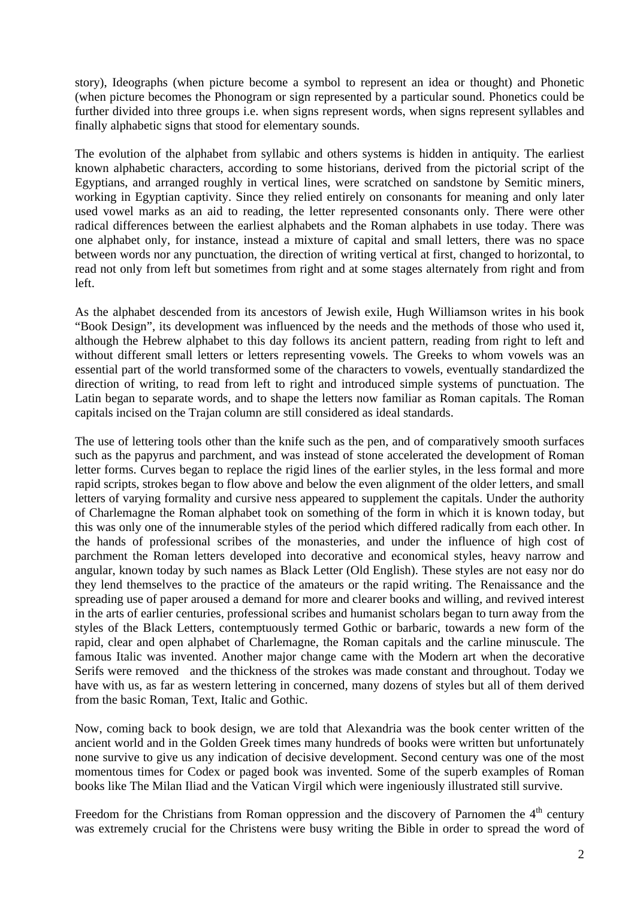story), Ideographs (when picture become a symbol to represent an idea or thought) and Phonetic (when picture becomes the Phonogram or sign represented by a particular sound. Phonetics could be further divided into three groups i.e. when signs represent words, when signs represent syllables and finally alphabetic signs that stood for elementary sounds.

The evolution of the alphabet from syllabic and others systems is hidden in antiquity. The earliest known alphabetic characters, according to some historians, derived from the pictorial script of the Egyptians, and arranged roughly in vertical lines, were scratched on sandstone by Semitic miners, working in Egyptian captivity. Since they relied entirely on consonants for meaning and only later used vowel marks as an aid to reading, the letter represented consonants only. There were other radical differences between the earliest alphabets and the Roman alphabets in use today. There was one alphabet only, for instance, instead a mixture of capital and small letters, there was no space between words nor any punctuation, the direction of writing vertical at first, changed to horizontal, to read not only from left but sometimes from right and at some stages alternately from right and from left.

As the alphabet descended from its ancestors of Jewish exile, Hugh Williamson writes in his book "Book Design", its development was influenced by the needs and the methods of those who used it, although the Hebrew alphabet to this day follows its ancient pattern, reading from right to left and without different small letters or letters representing vowels. The Greeks to whom vowels was an essential part of the world transformed some of the characters to vowels, eventually standardized the direction of writing, to read from left to right and introduced simple systems of punctuation. The Latin began to separate words, and to shape the letters now familiar as Roman capitals. The Roman capitals incised on the Trajan column are still considered as ideal standards.

The use of lettering tools other than the knife such as the pen, and of comparatively smooth surfaces such as the papyrus and parchment, and was instead of stone accelerated the development of Roman letter forms. Curves began to replace the rigid lines of the earlier styles, in the less formal and more rapid scripts, strokes began to flow above and below the even alignment of the older letters, and small letters of varying formality and cursive ness appeared to supplement the capitals. Under the authority of Charlemagne the Roman alphabet took on something of the form in which it is known today, but this was only one of the innumerable styles of the period which differed radically from each other. In the hands of professional scribes of the monasteries, and under the influence of high cost of parchment the Roman letters developed into decorative and economical styles, heavy narrow and angular, known today by such names as Black Letter (Old English). These styles are not easy nor do they lend themselves to the practice of the amateurs or the rapid writing. The Renaissance and the spreading use of paper aroused a demand for more and clearer books and willing, and revived interest in the arts of earlier centuries, professional scribes and humanist scholars began to turn away from the styles of the Black Letters, contemptuously termed Gothic or barbaric, towards a new form of the rapid, clear and open alphabet of Charlemagne, the Roman capitals and the carline minuscule. The famous Italic was invented. Another major change came with the Modern art when the decorative Serifs were removed and the thickness of the strokes was made constant and throughout. Today we have with us, as far as western lettering in concerned, many dozens of styles but all of them derived from the basic Roman, Text, Italic and Gothic.

Now, coming back to book design, we are told that Alexandria was the book center written of the ancient world and in the Golden Greek times many hundreds of books were written but unfortunately none survive to give us any indication of decisive development. Second century was one of the most momentous times for Codex or paged book was invented. Some of the superb examples of Roman books like The Milan Iliad and the Vatican Virgil which were ingeniously illustrated still survive.

Freedom for the Christians from Roman oppression and the discovery of Parnomen the  $4<sup>th</sup>$  century was extremely crucial for the Christens were busy writing the Bible in order to spread the word of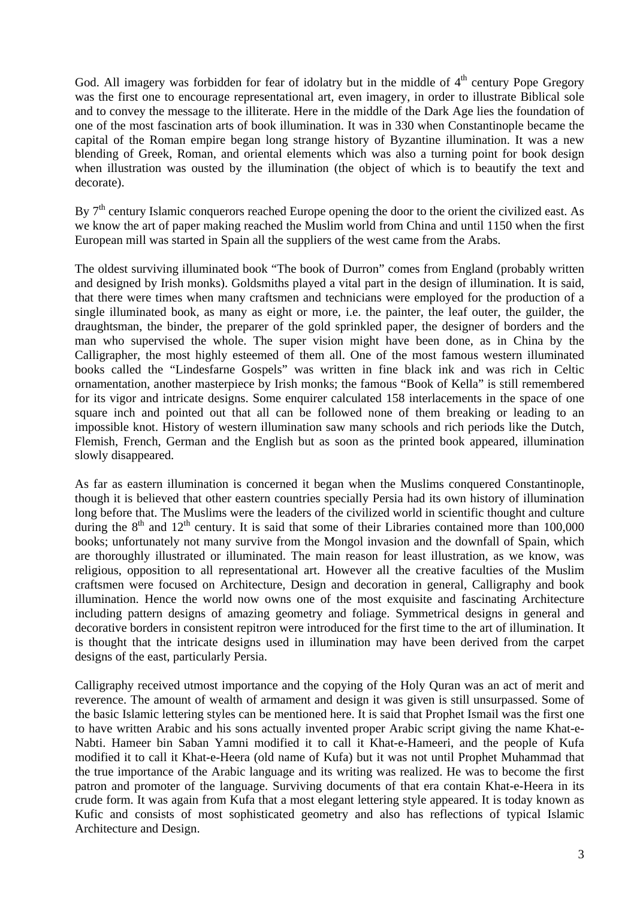God. All imagery was forbidden for fear of idolatry but in the middle of  $4<sup>th</sup>$  century Pope Gregory was the first one to encourage representational art, even imagery, in order to illustrate Biblical sole and to convey the message to the illiterate. Here in the middle of the Dark Age lies the foundation of one of the most fascination arts of book illumination. It was in 330 when Constantinople became the capital of the Roman empire began long strange history of Byzantine illumination. It was a new blending of Greek, Roman, and oriental elements which was also a turning point for book design when illustration was ousted by the illumination (the object of which is to beautify the text and decorate).

By  $7<sup>th</sup>$  century Islamic conquerors reached Europe opening the door to the orient the civilized east. As we know the art of paper making reached the Muslim world from China and until 1150 when the first European mill was started in Spain all the suppliers of the west came from the Arabs.

The oldest surviving illuminated book "The book of Durron" comes from England (probably written and designed by Irish monks). Goldsmiths played a vital part in the design of illumination. It is said, that there were times when many craftsmen and technicians were employed for the production of a single illuminated book, as many as eight or more, i.e. the painter, the leaf outer, the guilder, the draughtsman, the binder, the preparer of the gold sprinkled paper, the designer of borders and the man who supervised the whole. The super vision might have been done, as in China by the Calligrapher, the most highly esteemed of them all. One of the most famous western illuminated books called the "Lindesfarne Gospels" was written in fine black ink and was rich in Celtic ornamentation, another masterpiece by Irish monks; the famous "Book of Kella" is still remembered for its vigor and intricate designs. Some enquirer calculated 158 interlacements in the space of one square inch and pointed out that all can be followed none of them breaking or leading to an impossible knot. History of western illumination saw many schools and rich periods like the Dutch, Flemish, French, German and the English but as soon as the printed book appeared, illumination slowly disappeared.

As far as eastern illumination is concerned it began when the Muslims conquered Constantinople, though it is believed that other eastern countries specially Persia had its own history of illumination long before that. The Muslims were the leaders of the civilized world in scientific thought and culture during the  $8<sup>th</sup>$  and  $12<sup>th</sup>$  century. It is said that some of their Libraries contained more than 100,000 books; unfortunately not many survive from the Mongol invasion and the downfall of Spain, which are thoroughly illustrated or illuminated. The main reason for least illustration, as we know, was religious, opposition to all representational art. However all the creative faculties of the Muslim craftsmen were focused on Architecture, Design and decoration in general, Calligraphy and book illumination. Hence the world now owns one of the most exquisite and fascinating Architecture including pattern designs of amazing geometry and foliage. Symmetrical designs in general and decorative borders in consistent repitron were introduced for the first time to the art of illumination. It is thought that the intricate designs used in illumination may have been derived from the carpet designs of the east, particularly Persia.

Calligraphy received utmost importance and the copying of the Holy Quran was an act of merit and reverence. The amount of wealth of armament and design it was given is still unsurpassed. Some of the basic Islamic lettering styles can be mentioned here. It is said that Prophet Ismail was the first one to have written Arabic and his sons actually invented proper Arabic script giving the name Khat-e-Nabti. Hameer bin Saban Yamni modified it to call it Khat-e-Hameeri, and the people of Kufa modified it to call it Khat-e-Heera (old name of Kufa) but it was not until Prophet Muhammad that the true importance of the Arabic language and its writing was realized. He was to become the first patron and promoter of the language. Surviving documents of that era contain Khat-e-Heera in its crude form. It was again from Kufa that a most elegant lettering style appeared. It is today known as Kufic and consists of most sophisticated geometry and also has reflections of typical Islamic Architecture and Design.